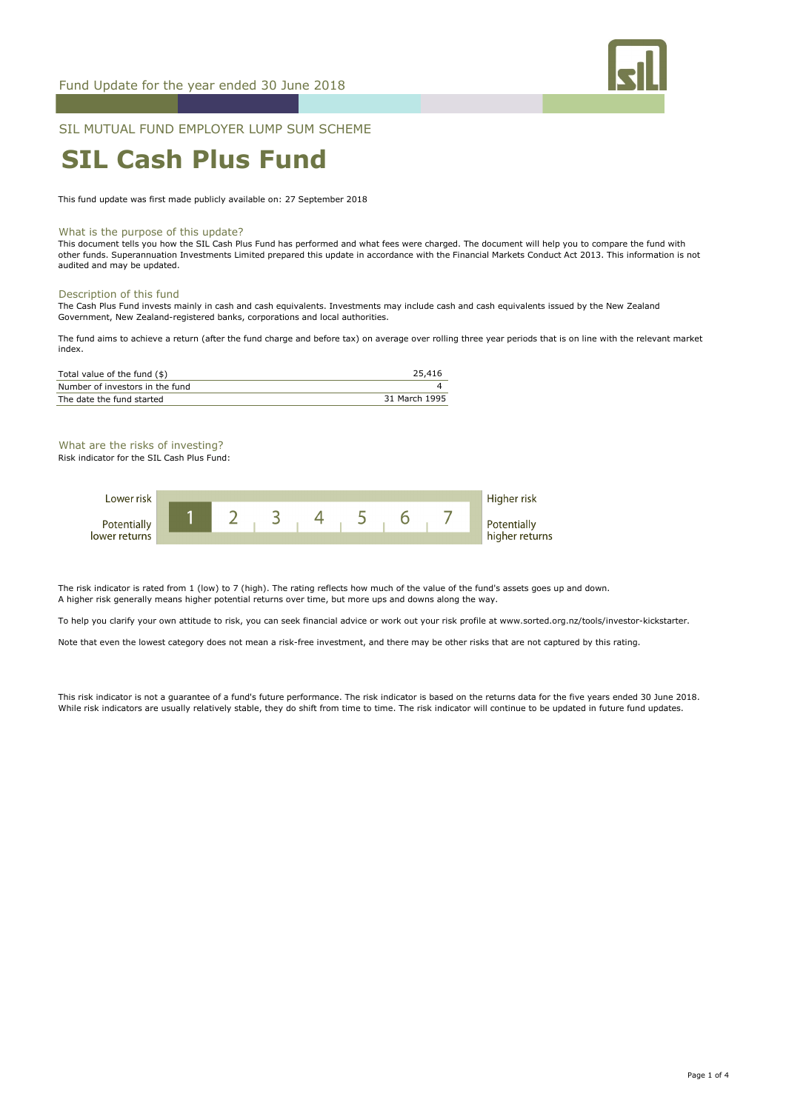

SIL MUTUAL FUND EMPLOYER LUMP SUM SCHEME

# **SIL Cash Plus Fund**

This fund update was first made publicly available on: 27 September 2018

#### What is the purpose of this update?

This document tells you how the SIL Cash Plus Fund has performed and what fees were charged. The document will help you to compare the fund with other funds. Superannuation Investments Limited prepared this update in accordance with the Financial Markets Conduct Act 2013. This information is not audited and may be updated.

#### Description of this fund

The Cash Plus Fund invests mainly in cash and cash equivalents. Investments may include cash and cash equivalents issued by the New Zealand Government, New Zealand-registered banks, corporations and local authorities.

The fund aims to achieve a return (after the fund charge and before tax) on average over rolling three year periods that is on line with the relevant market index.

Higher risk

| 25,416        |
|---------------|
|               |
| 31 March 1995 |
|               |

What are the risks of investing? Risk indicator for the SIL Cash Plus Fund:

lower returns

Lower risk **1 2 3 5 6 7 4**

higher returns

The risk indicator is rated from 1 (low) to 7 (high). The rating reflects how much of the value of the fund's assets goes up and down. A higher risk generally means higher potential returns over time, but more ups and downs along the way.

To help you clarify your own attitude to risk, you can seek financial advice or work out your risk profile at www.sorted.org.nz/tools/investor-kickstarter.

Note that even the lowest category does not mean a risk-free investment, and there may be other risks that are not captured by this rating.

This risk indicator is not a guarantee of a fund's future performance. The risk indicator is based on the returns data for the five years ended 30 June 2018. While risk indicators are usually relatively stable, they do shift from time to time. The risk indicator will continue to be updated in future fund updates.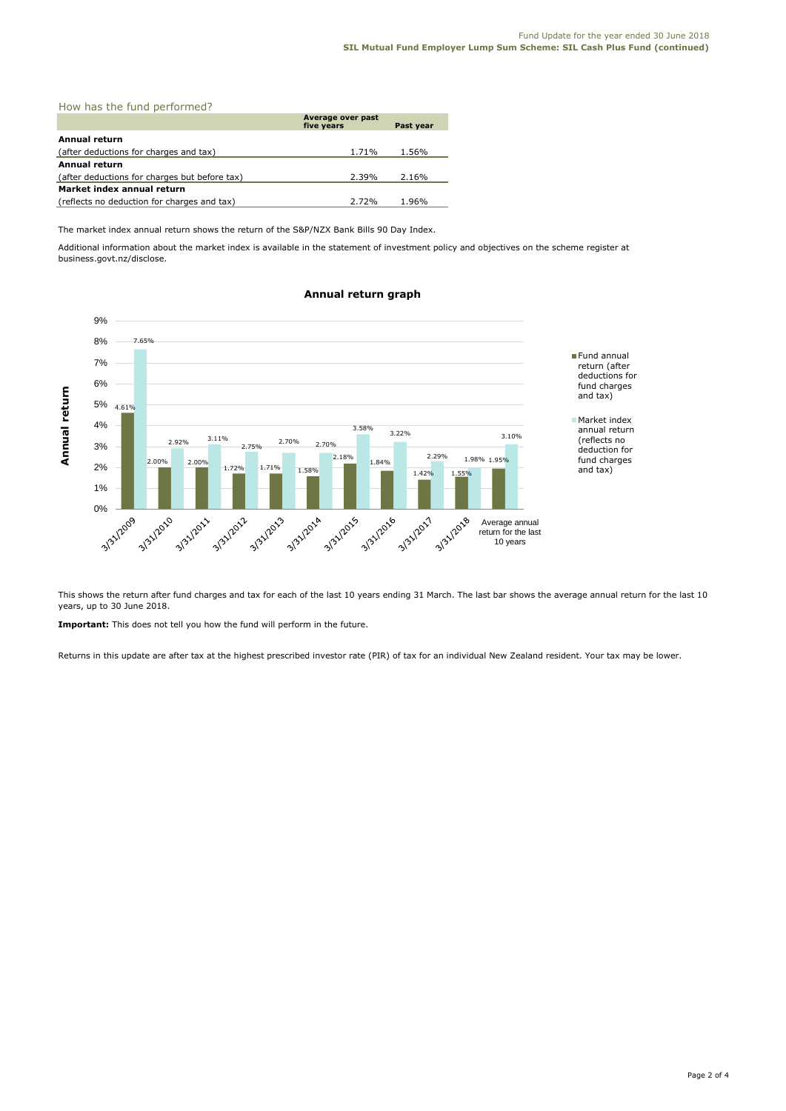| How has the fund performed?                   |                                 |           |  |  |  |  |
|-----------------------------------------------|---------------------------------|-----------|--|--|--|--|
|                                               | Average over past<br>five years | Past year |  |  |  |  |
| Annual return                                 |                                 |           |  |  |  |  |
| (after deductions for charges and tax)        | 1.71%                           | 1.56%     |  |  |  |  |
| <b>Annual return</b>                          |                                 |           |  |  |  |  |
| (after deductions for charges but before tax) | 2.39%                           | 2.16%     |  |  |  |  |
| Market index annual return                    |                                 |           |  |  |  |  |
| (reflects no deduction for charges and tax)   | 2.72%                           | 1.96%     |  |  |  |  |

The market index annual return shows the return of the S&P/NZX Bank Bills 90 Day Index.

Additional information about the market index is available in the statement of investment policy and objectives on the scheme register at business.govt.nz/disclose.

#### 9% 8% 7.65% Fund annual 7% return (after deductions for 6% fund charges Annual return **Annual return** and tax) 5% 4.61% Market index 4% 3.58% annual return 3.22% 3.10% 2.92% 3.11% (reflects no 2.70% 2.70% 3% 2.75% deduction for 2.18% 2.29% 1.98% 1.95% fund charges 2.00% 2.00% 1.84% 2%  $1.72\%$   $1.71\%$   $1.58\%$ and tax) 1.42% 1.55% 1% 0% -3/31/2010 3/31/2011 3/31/2012 2 312013 3312014 A 312015 3131/2016 3/31/2017 3/31/2018 Average annual return for the last 10 years

# **Annual return graph**

This shows the return after fund charges and tax for each of the last 10 years ending 31 March. The last bar shows the average annual return for the last 10 years, up to 30 June 2018.

**Important:** This does not tell you how the fund will perform in the future.

Returns in this update are after tax at the highest prescribed investor rate (PIR) of tax for an individual New Zealand resident. Your tax may be lower.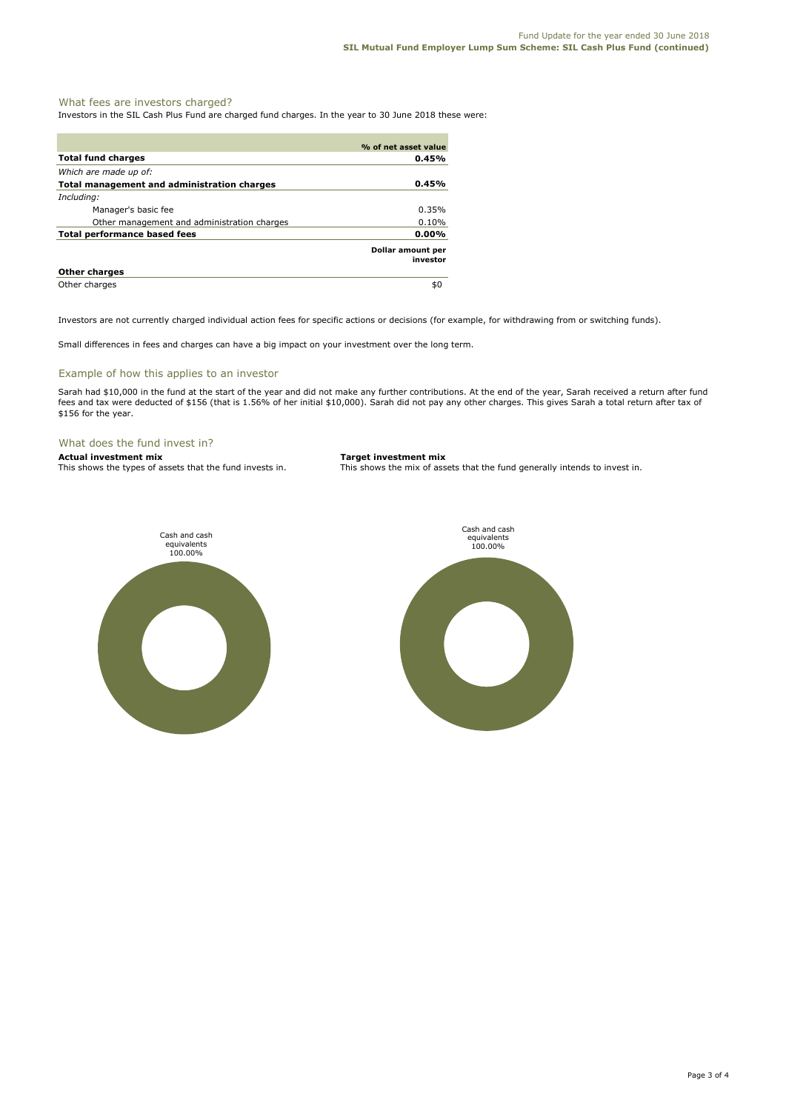# What fees are investors charged?

Investors in the SIL Cash Plus Fund are charged fund charges. In the year to 30 June 2018 these were:

|                                                    | % of net asset value          |
|----------------------------------------------------|-------------------------------|
| <b>Total fund charges</b>                          | 0.45%                         |
| Which are made up of:                              |                               |
| <b>Total management and administration charges</b> | 0.45%                         |
| Including:                                         |                               |
| Manager's basic fee                                | 0.35%                         |
| Other management and administration charges        | 0.10%                         |
| <b>Total performance based fees</b>                | 0.00%                         |
|                                                    | Dollar amount per<br>investor |
| <b>Other charges</b>                               |                               |
| Other charges                                      | \$0                           |

Investors are not currently charged individual action fees for specific actions or decisions (for example, for withdrawing from or switching funds).

Small differences in fees and charges can have a big impact on your investment over the long term.

### Example of how this applies to an investor

Sarah had \$10,000 in the fund at the start of the year and did not make any further contributions. At the end of the year, Sarah received a return after fund fees and tax were deducted of \$156 (that is 1.56% of her initial \$10,000). Sarah did not pay any other charges. This gives Sarah a total return after tax of \$156 for the year.

# What does the fund invest in?

**Actual investment mix Target investment mix**<br>This shows the types of assets that the fund invests in. This shows the mix of ass

This shows the mix of assets that the fund generally intends to invest in.